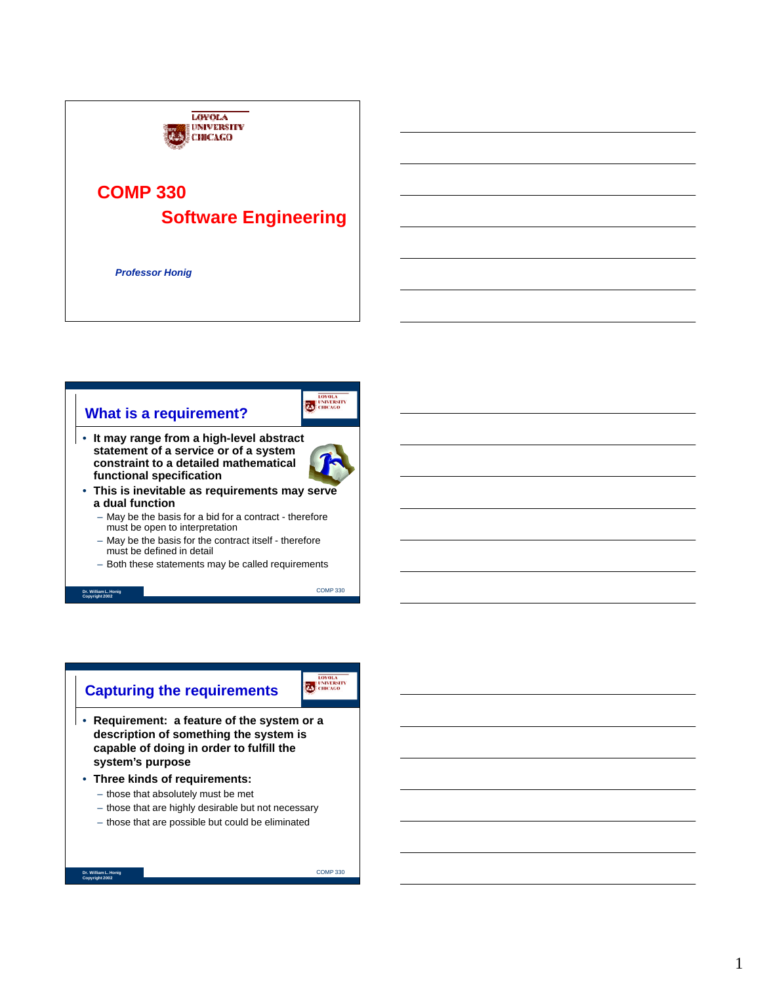

# **What is a requirement?**

• **It may range from a high-level abstract statement of a service or of a system constraint to a detailed mathematical functional specification**



ED CHICAGO

- **This is inevitable as requirements may serve a dual function**
	- May be the basis for a bid for a contract therefore must be open to interpretation
	- May be the basis for the contract itself therefore must be defined in detail
	- Both these statements may be called requirements

**Dr. William L. Honig Copyright 2002**

COMP 330

# **Capturing the requirements**

LOVOLA

- **Requirement: a feature of the system or a description of something the system is capable of doing in order to fulfill the system's purpose**
- **Three kinds of requirements:**
	- those that absolutely must be met
	- those that are highly desirable but not necessary
	- those that are possible but could be eliminated

```
Dr. William L. Honig
Copyright 2002
```
COMP 330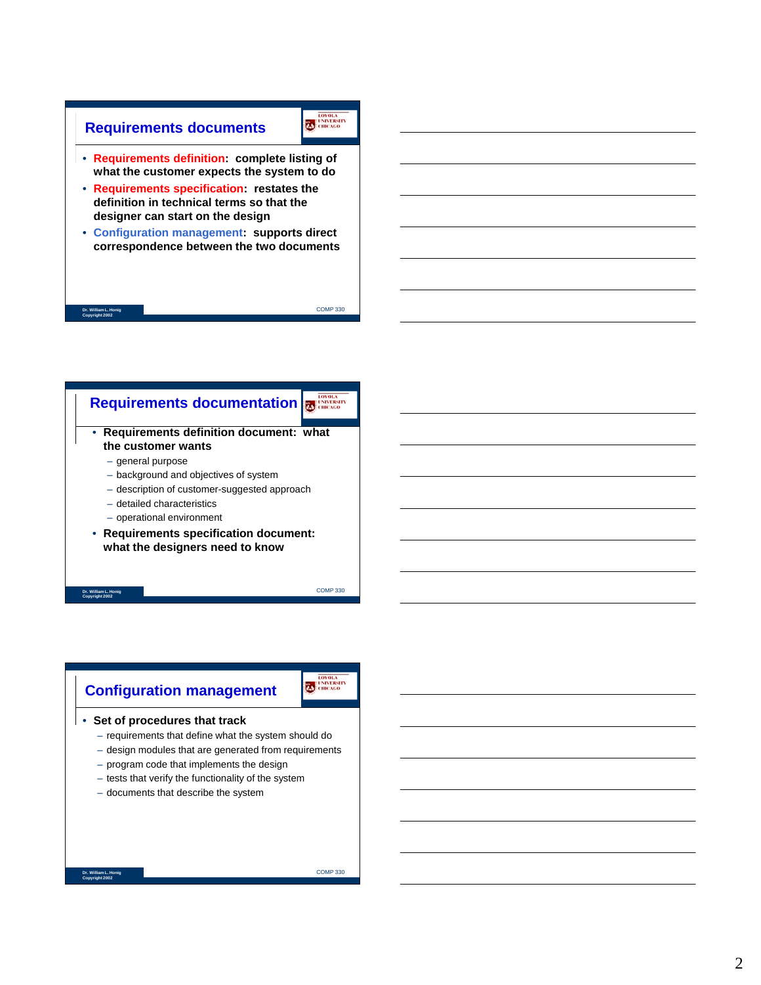### **Requirements documents**

EDIVOLA CHICAGO

COMP 330

- **Requirements definition: complete listing of what the customer expects the system to do**
- **Requirements specification: restates the definition in technical terms so that the designer can start on the design**
- **Configuration management: supports direct correspondence between the two documents**

#### **Dr. William L. Honig Copyright 2002**



**Dr. William L. Honig Copyright 2002**

COMP 330

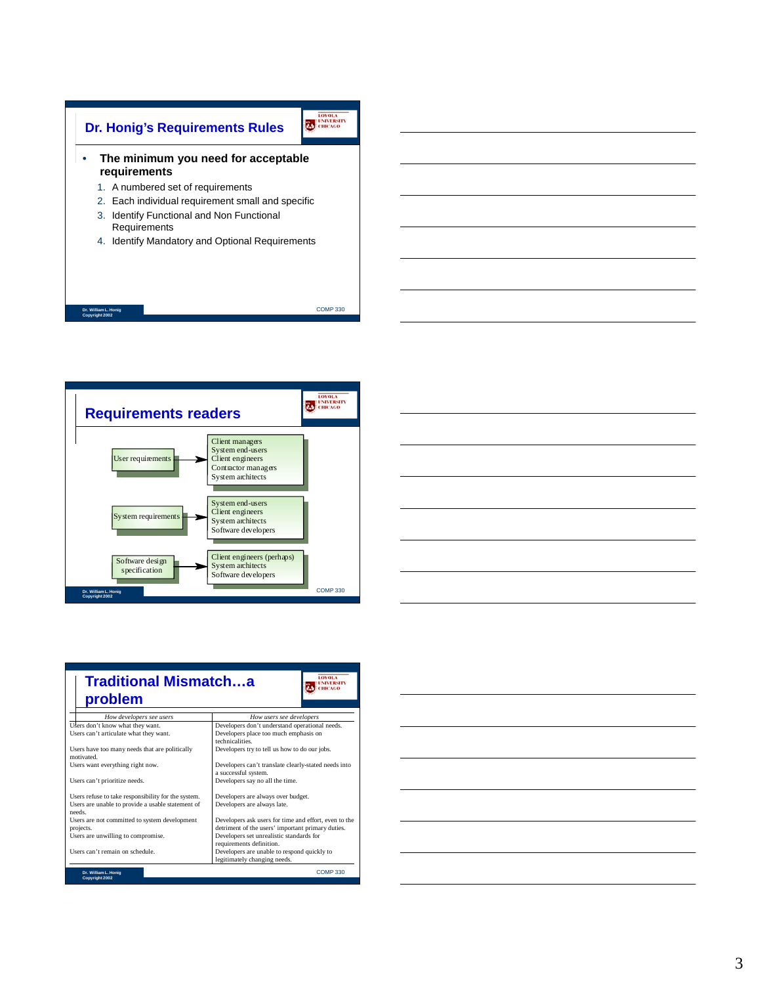





| <b>LOYOLA</b><br><b>Traditional Mismatcha</b><br><b>NIVERSIT</b><br>problem                                       |                                                                                                            |  |  |  |
|-------------------------------------------------------------------------------------------------------------------|------------------------------------------------------------------------------------------------------------|--|--|--|
| How developers see users                                                                                          | How users see developers                                                                                   |  |  |  |
| Users don't know what they want.<br>Users can't articulate what they want.                                        | Developers don't understand operational needs.<br>Developers place too much emphasis on<br>technicalities  |  |  |  |
| Users have too many needs that are politically<br>motivated                                                       | Developers try to tell us how to do our jobs.                                                              |  |  |  |
| Users want everything right now.                                                                                  | Developers can't translate clearly-stated needs into<br>a successful system.                               |  |  |  |
| Users can't prioritize needs.                                                                                     | Developers say no all the time.                                                                            |  |  |  |
| Users refuse to take responsibility for the system.<br>Users are unable to provide a usable statement of<br>needs | Developers are always over budget.<br>Developers are always late.                                          |  |  |  |
| Users are not committed to system development<br>projects.                                                        | Developers ask users for time and effort, even to the<br>detriment of the users' important primary duties. |  |  |  |
| Users are unwilling to compromise.                                                                                | Developers set unrealistic standards for<br>requirements definition.                                       |  |  |  |
| Users can't remain on schedule.                                                                                   | Developers are unable to respond quickly to<br>legitimately changing needs.                                |  |  |  |
| Dr. William L. Honig<br>Copyright 2002                                                                            | <b>COMP330</b>                                                                                             |  |  |  |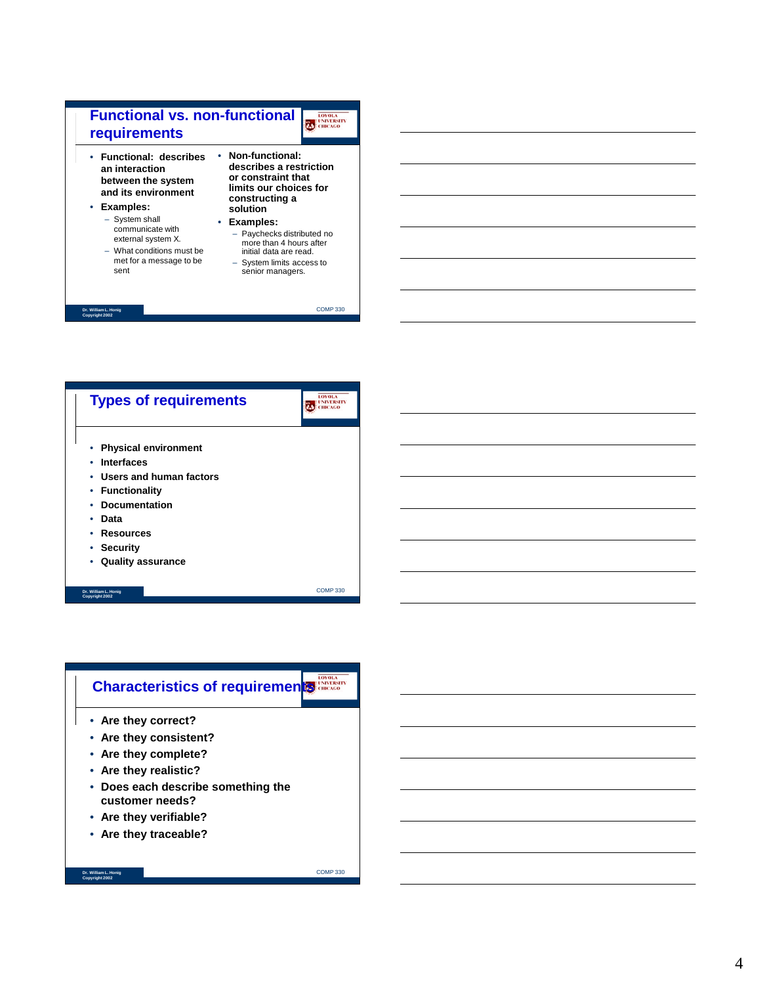



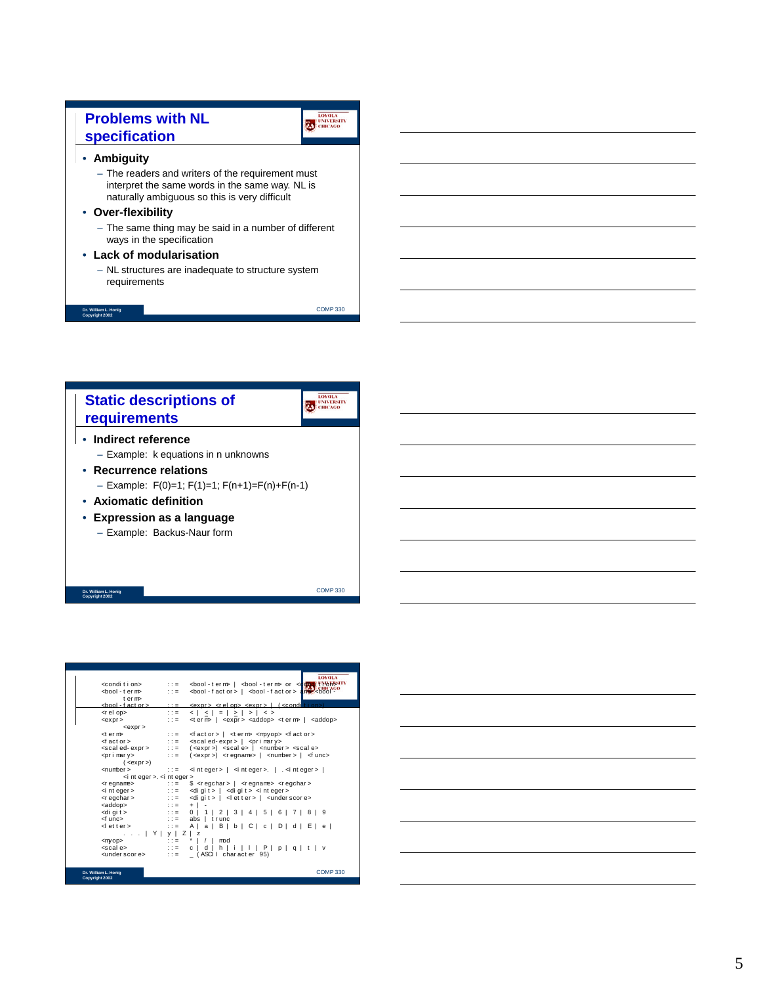# **Problems with NL specification**

COMP 330

LOVOLA UNIVERSITY

COMP 330

#### • **Ambiguity**

– The readers and writers of the requirement must interpret the same words in the same way. NL is naturally ambiguous so this is very difficult

#### • **Over-flexibility**

– The same thing may be said in a number of different ways in the specification

#### • **Lack of modularisation**

– NL structures are inadequate to structure system requirements

**Dr. William L. Honig Copyright 2002**

LOVOLA LOVOLA **Static descriptions of requirements**

#### • **Indirect reference** – Example: k equations in n unknowns

- **Recurrence relations** – Example: F(0)=1; F(1)=1; F(n+1)=F(n)+F(n-1)
- **Axiomatic definition**
- **Expression as a language** – Example: Backus-Naur form

**Dr. William L. Honig Copyright 2002**

|                                                                                                                                                                                                         |                                                   | <b>LOYOLA</b>                                                                                         |
|---------------------------------------------------------------------------------------------------------------------------------------------------------------------------------------------------------|---------------------------------------------------|-------------------------------------------------------------------------------------------------------|
| <condition></condition>                                                                                                                                                                                 | $2.2 = 10$                                        | <bool-term>   <bool-term> or <compotition< td=""></compotition<></bool-term></bool-term>              |
| <bool-term⊳< td=""><td><math>\mathbf{1} \mathbf{1} = \mathbf{1}</math></td><td><bool -="" fact="" or="">   <bool -="" fact="" or=""><br/><math>arrows</math> <br/>bool</bool></bool></td></bool-term⊳<> | $\mathbf{1} \mathbf{1} = \mathbf{1}$              | <bool -="" fact="" or="">   <bool -="" fact="" or=""><br/><math>arrows</math> <br/>bool</bool></bool> |
| term⊳                                                                                                                                                                                                   |                                                   |                                                                                                       |
| <bool -="" fact="" or=""></bool>                                                                                                                                                                        | $2.2 \pm 1.1$                                     | <u> <expr> <relop> <expr>   (<condition></condition></expr></relop></expr></u>                        |
| <rel op=""></rel>                                                                                                                                                                                       | $2.2 = 10$                                        | $ < < = < >$                                                                                          |
| $<$ expr $>$                                                                                                                                                                                            | $\mathbf{1} \mathbf{1} = \mathbf{1}$              | <term>   <expr> <addop> <term>   <addop></addop></term></addop></expr></term>                         |
| $<$ expr $>$                                                                                                                                                                                            |                                                   |                                                                                                       |
| <term⊳< td=""><td><math>\mathbf{1} \mathbf{1} = \mathbf{1}</math></td><td><factor>   <term> <mpyop> <factor></factor></mpyop></term></factor></td></term⊳<>                                             | $\mathbf{1} \mathbf{1} = \mathbf{1}$              | <factor>   <term> <mpyop> <factor></factor></mpyop></term></factor>                                   |
| ⊲factor>                                                                                                                                                                                                |                                                   | $\therefore$ = <scaled-expr>   <primary></primary></scaled-expr>                                      |
| $\epsilon$ scaled-expr $>$ ::=                                                                                                                                                                          |                                                   | ( <expr>) <scale>   <number> <scale></scale></number></scale></expr>                                  |
| <primary></primary>                                                                                                                                                                                     | $\mathbf{1} \mathbf{1} =$                         | ( <expr>) <regname>   <number>   <func></func></number></regname></expr>                              |
| $(expr>)$                                                                                                                                                                                               |                                                   |                                                                                                       |
| <number></number>                                                                                                                                                                                       | $\mathcal{L} \mathcal{L} = 0$                     | $\frac{1}{2}$ of nt eqer >   $\frac{1}{2}$ of nt eqer >   $\frac{1}{2}$ of nt eqer >                  |
| $\le$ i nt eger >. $\le$ i nt eger >                                                                                                                                                                    |                                                   |                                                                                                       |
| <regname></regname>                                                                                                                                                                                     | $\cdots$ : $\cdots$                               | $s$ <regchar> <math> </math> <regname> <regchar></regchar></regname></regchar>                        |
| <i eger="" nt=""></i>                                                                                                                                                                                   |                                                   | $\therefore$ = < digit >   < digit > < integer >                                                      |
| $<$ r egchar $>$<br><addop></addop>                                                                                                                                                                     | $2.2 = 10$                                        | <digit>   <letter>   <underscore></underscore></letter></digit>                                       |
| <digit></digit>                                                                                                                                                                                         | $2.2 = 1$<br>$\mathbf{1} \mathbf{1} = \mathbf{1}$ | $+$   $-$<br>$0$   1   2   3   4   5   6   7   8   9                                                  |
| <f unc=""></f>                                                                                                                                                                                          | $\pm 1 = -1$                                      | $abs$   $trunc$                                                                                       |
| ⊲letter>                                                                                                                                                                                                |                                                   | $A   a   B   b   C   c   D   d   E   e  $                                                             |
| $\ldots$ $Y \mid y \mid Z \mid z$                                                                                                                                                                       |                                                   |                                                                                                       |
| <m op=""></m>                                                                                                                                                                                           | $\mathbf{1} \mathbf{1} = \mathbf{1}$              | $\prime$ 1<br>mod                                                                                     |
| <scale></scale>                                                                                                                                                                                         | $\pm 10 = 10$                                     | c   d   h   i   l   P   p   q   t   v                                                                 |
| <under e="" scor=""></under>                                                                                                                                                                            | $\mathbf{1} \mathbf{1} = \mathbf{1}$              | (ASCII character 95)                                                                                  |
|                                                                                                                                                                                                         |                                                   |                                                                                                       |
|                                                                                                                                                                                                         |                                                   |                                                                                                       |
| Dr. William L. Honig<br>Copyright 2002                                                                                                                                                                  |                                                   | <b>COMP330</b>                                                                                        |

| the contract of the contract of the contract of the contract of the contract of |                                                                                                                                                                                                                               |  |
|---------------------------------------------------------------------------------|-------------------------------------------------------------------------------------------------------------------------------------------------------------------------------------------------------------------------------|--|
|                                                                                 |                                                                                                                                                                                                                               |  |
|                                                                                 |                                                                                                                                                                                                                               |  |
| the contract of the contract of the contract of the contract of the contract of |                                                                                                                                                                                                                               |  |
|                                                                                 |                                                                                                                                                                                                                               |  |
|                                                                                 |                                                                                                                                                                                                                               |  |
|                                                                                 | the control of the control of the control of the control of the control of the control of the control of the control of the control of the control of the control of the control of the control of the control of the control |  |
|                                                                                 |                                                                                                                                                                                                                               |  |
|                                                                                 |                                                                                                                                                                                                                               |  |
|                                                                                 |                                                                                                                                                                                                                               |  |
|                                                                                 |                                                                                                                                                                                                                               |  |
|                                                                                 |                                                                                                                                                                                                                               |  |
|                                                                                 |                                                                                                                                                                                                                               |  |
|                                                                                 |                                                                                                                                                                                                                               |  |
|                                                                                 |                                                                                                                                                                                                                               |  |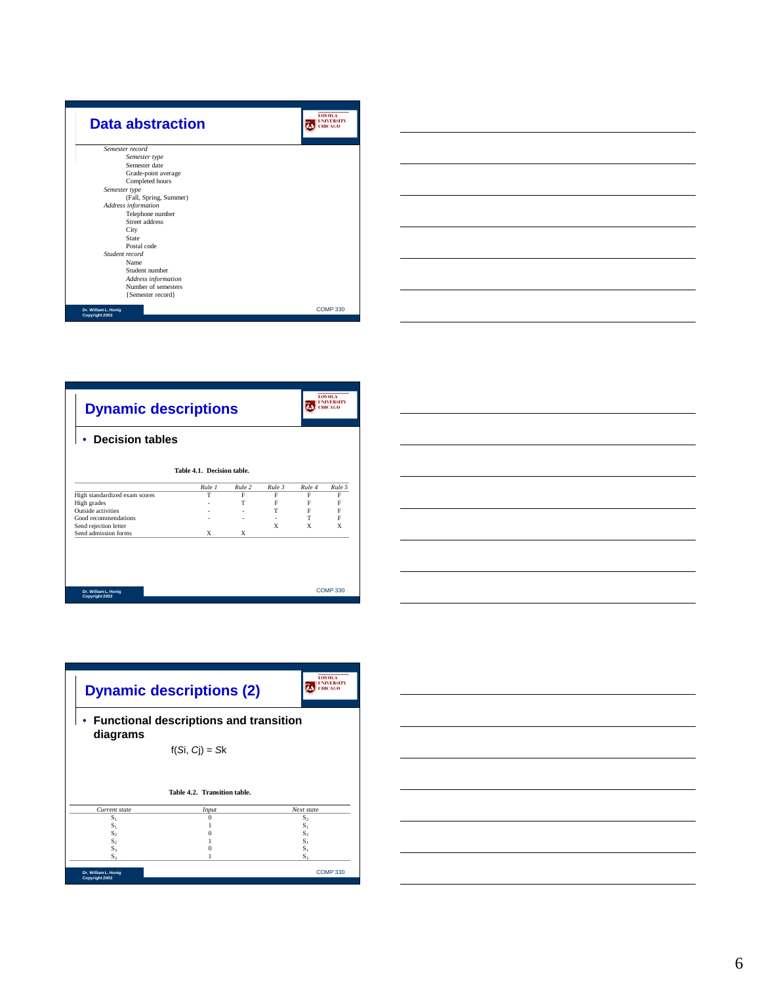

|                                                                                                                 |  | $\sim$ |
|-----------------------------------------------------------------------------------------------------------------|--|--------|
|                                                                                                                 |  |        |
|                                                                                                                 |  |        |
|                                                                                                                 |  |        |
|                                                                                                                 |  |        |
|                                                                                                                 |  |        |
|                                                                                                                 |  |        |
|                                                                                                                 |  |        |
|                                                                                                                 |  |        |
|                                                                                                                 |  |        |
| the contract of the contract of the contract of the contract of the contract of                                 |  |        |
|                                                                                                                 |  |        |
|                                                                                                                 |  |        |
|                                                                                                                 |  |        |
|                                                                                                                 |  |        |
|                                                                                                                 |  |        |
| the contract of the contract of the contract of the contract of the contract of the contract of the contract of |  |        |
|                                                                                                                 |  |        |
|                                                                                                                 |  |        |

 $\overline{a}$ 

| <b>Dynamic descriptions</b>            |                            |        |        |        | <b>LOYOLA</b><br>UNIVERSITY<br>ніслео |
|----------------------------------------|----------------------------|--------|--------|--------|---------------------------------------|
| <b>Decision tables</b>                 |                            |        |        |        |                                       |
|                                        | Table 4.1. Decision table. |        |        |        |                                       |
|                                        | Rule 1                     | Rule 2 | Rule 3 | Rule 4 | Rule 5                                |
| High standardized exam scores          | T                          | F      | F      | F      | F                                     |
| High grades                            |                            | T      | F      | F      | F                                     |
| Outside activities                     |                            |        | T      | F      | F                                     |
| Good recommendations                   |                            | ٠      | ٠      | T.     | F                                     |
| Send rejection letter                  |                            |        | X      | X      | X                                     |
| Send admission forms                   | X                          | X      |        |        |                                       |
|                                        |                            |        |        |        |                                       |
| Dr. William L. Honig<br>Copyright 2002 |                            |        |        |        | <b>COMP330</b>                        |





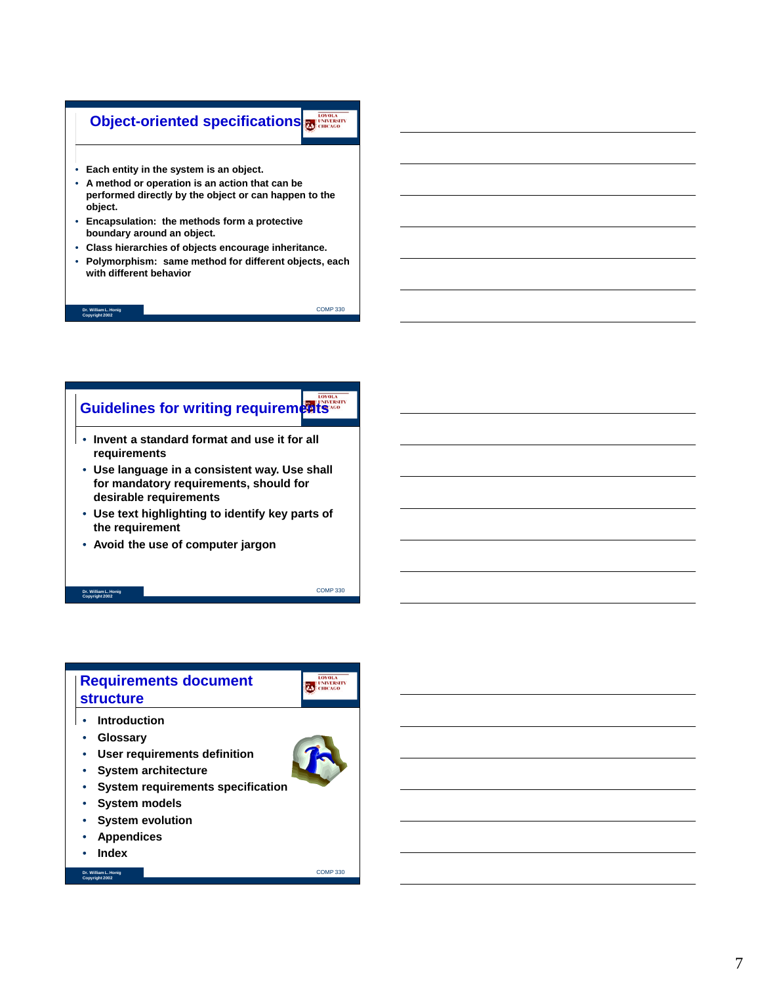# **Object-oriented specifications**

- **Each entity in the system is an object.**
- **A method or operation is an action that can be performed directly by the object or can happen to the object.**
- **Encapsulation: the methods form a protective boundary around an object.**
- **Class hierarchies of objects encourage inheritance.**
- **Polymorphism: same method for different objects, each with different behavior**

**Dr. William L. Honig Copyright 2002**

COMP 330

# **Guidelines for writing requirements**

- **Invent a standard format and use it for all requirements**
- **Use language in a consistent way. Use shall for mandatory requirements, should for desirable requirements**
- **Use text highlighting to identify key parts of the requirement**
- **Avoid the use of computer jargon**

#### **Dr. William L. Honig Copyright 2002**

# **Requirements document structure**

- **Introduction**
- **Glossary**
- **User requirements definition**
- **System architecture**
- **System requirements specification**
- **System models**
- **System evolution**
- **Appendices**
- **Index**

**Dr. William L. Honig Copyright 2002**



COMP 330

COMP 330

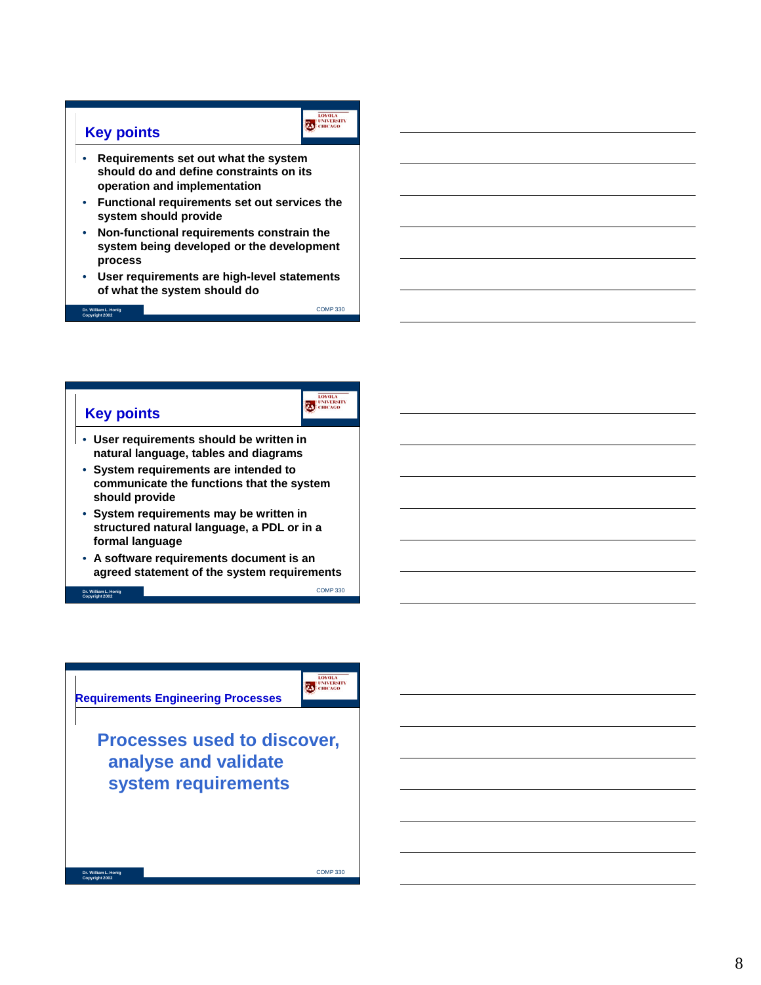## **Key points**

- **Requirements set out what the system should do and define constraints on its operation and implementation**
- **Functional requirements set out services the system should provide**
- **Non-functional requirements constrain the system being developed or the development process**
- **User requirements are high-level statements of what the system should do**

COMP 330

CHICAGO

CHICAGO

COMP 330

COMP 330

**Dr. William L. Honig Copyright 2002**

# **Key points**

- **User requirements should be written in natural language, tables and diagrams**
- **System requirements are intended to communicate the functions that the system should provide**
- **System requirements may be written in structured natural language, a PDL or in a formal language**
- **A software requirements document is an agreed statement of the system requirements**

**Dr. William L. Honig Copyright 2002**

**Dr. William L. Honig Copyright 2002**

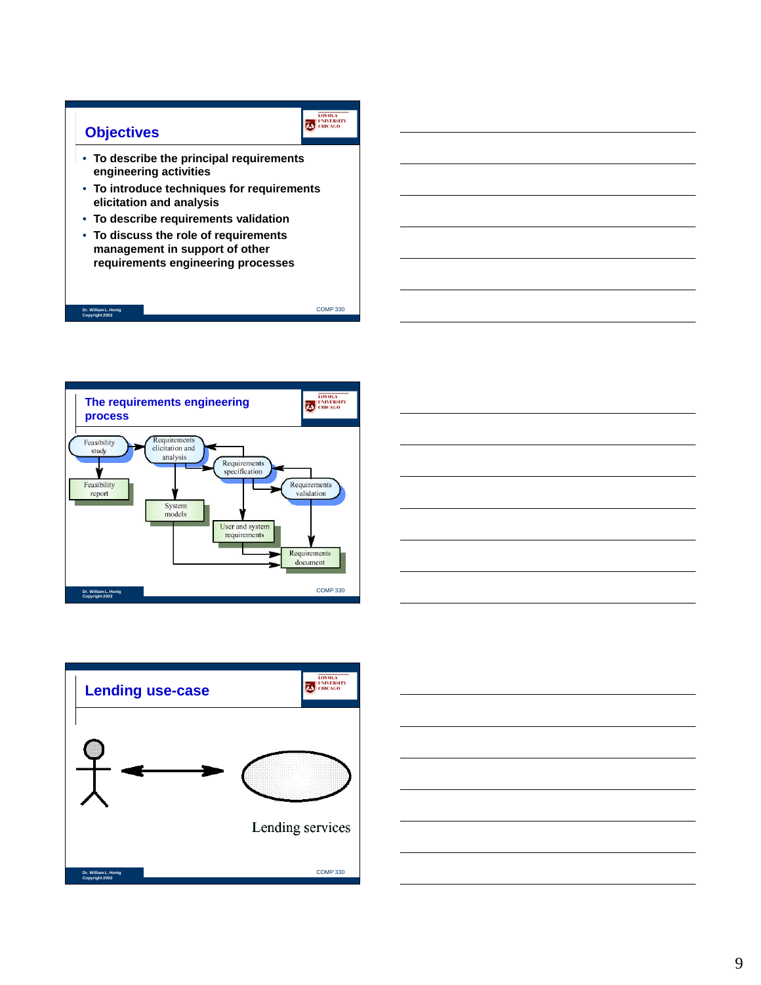

**Dr. William L. Honig Copyright 2002**



- **To describe the principal requirements engineering activities**
- **To introduce techniques for requirements elicitation and analysis**
- **To describe requirements validation**
- COMP 330 • **To discuss the role of requirements management in support of other requirements engineering processes**



![](_page_8_Picture_7.jpeg)

![](_page_8_Figure_8.jpeg)

![](_page_8_Figure_9.jpeg)